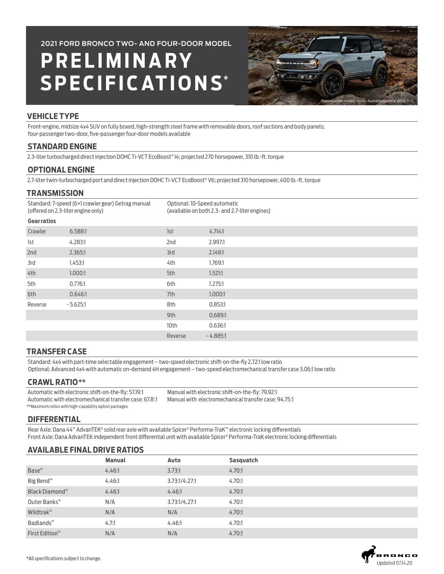**P R E L I M I N A R Y SPECIFICATIONS**\* **2021 FORD BRONCO TWO- AND FOUR-DOOR MODEL**



# **VEHICLE TYPE**

Front-engine, midsize 4x4 SUV on fully boxed, high-strength steel frame with removable doors, roof sections and body panels; four-passenger two-door, five-passenger four-door models available

### **STANDARD ENGINE**

2.3-liter turbocharged direct injection DOHC Ti-VCT EcoBoost® I4; projected 270 horsepower, 310 lb.-ft. torque

## **OPTIONAL ENGINE**

2.7-liter twin-turbocharged port and direct injection DOHC Ti-VCT EcoBoost® V6; projected 310 horsepower, 400 lb.-ft. torque

#### **TRANSMISSION**

| Standard: 7-speed (6+1 crawler gear) Getrag manual<br>(offered on 2.3-liter engine only) |            | Optional: 10-Speed automatic<br>(available on both 2.3- and 2.7-liter engines) |            |  |
|------------------------------------------------------------------------------------------|------------|--------------------------------------------------------------------------------|------------|--|
| <b>Gearratios</b>                                                                        |            |                                                                                |            |  |
| Crawler                                                                                  | 6.588:1    | 1st                                                                            | 4.714:1    |  |
| 1st                                                                                      | 4.283:1    | 2nd                                                                            | 2.997:1    |  |
| 2nd                                                                                      | 2.365:1    | 3rd                                                                            | 2.149:1    |  |
| 3rd                                                                                      | 1.453:1    | 4th                                                                            | 1.769:1    |  |
| 4th                                                                                      | 1.000:1    | 5th                                                                            | 1.521:1    |  |
| 5th                                                                                      | 0.776:1    | 6th                                                                            | 1.275:1    |  |
| 6th                                                                                      | 0.646:1    | 7th                                                                            | 1.000:1    |  |
| Reverse                                                                                  | $-5.625:1$ | 8th                                                                            | 0.853:1    |  |
|                                                                                          |            | 9th                                                                            | 0.689:1    |  |
|                                                                                          |            | 10th                                                                           | 0.636:1    |  |
|                                                                                          |            | Reverse                                                                        | $-4.885:1$ |  |
|                                                                                          |            |                                                                                |            |  |

## **TRANSFER CASE**

Standard: 4x4 with part-time selectable engagement – two-speed electronic shift-on-the-fly 2.72:1 low ratio Optional: Advanced 4x4 with automatic on-demand 4H engagement – two-speed electromechanical transfer case 3.06:1 low ratio

#### **CRAWL RATIO**\*\*

Automatic with electronic shift-on-the-fly: 57.19:1 Automatic with electromechanical transfer case: 67.8:1 \*\*Maximum ratios with high-capability option packages

Manual with electronic shift-on-the-fly: 79.92:1 Manual with electromechanical transfer case: 94.75:1

## **DIFFERENTIAL**

Rear Axle: Dana 44™ AdvanTEK® solid rear axle with available Spicer® Performa-TraK™ electronic locking differentials Front Axle: Dana AdvanTEK independent front differential unit with available Spicer® Performa-TraK electronic locking differentials

# **AVAILABLE FINAL DRIVE RATIOS**

|                            | <b>Manual</b> | Auto          | Sasquatch |
|----------------------------|---------------|---------------|-----------|
| Base <sup>™</sup>          | 4.46:1        | 3.73:1        | 4.70:1    |
| Big Bend <sup>™</sup>      | 4.46:1        | 3.73:1/4.27:1 | 4.70:1    |
| Black Diamond™             | 4.46:1        | 4.46:1        | 4.70:1    |
| Outer Banks™               | N/A           | 3.73:1/4.27:1 | 4.70:1    |
| Wildtrak™                  | N/A           | N/A           | 4.70:1    |
| Badlands <sup>™</sup>      | 4.7:1         | 4.46:1        | 4.70:1    |
| First Edition <sup>™</sup> | N/A           | N/A           | 4.70:1    |

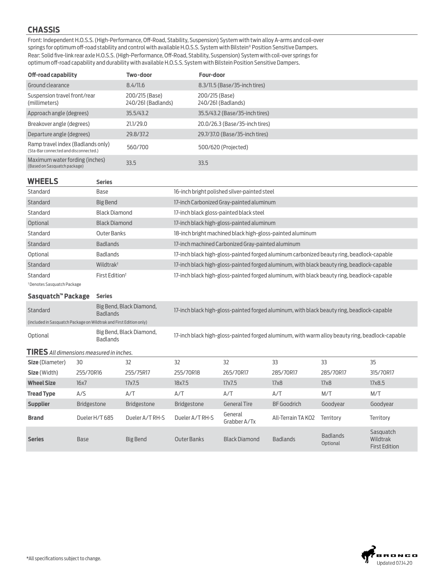## **CHASSIS**

Front: Independent H.O.S.S. (High-Performance, Off-Road, Stability, Suspension) System with twin alloy A-arms and coil-over springs for optimum off-road stability and control with available H.O.S.S. System with Bilstein® Position Sensitive Dampers. Rear: Solid five-link rear axle H.O.S.S. (High-Performance, Off-Road, Stability, Suspension) System with coil-over springs for optimum off-road capability and durability with available H.O.S.S. System with Bilstein Position Sensitive Dampers.

| Off-road capability                                                        | Two-door                             | Four-door                            |
|----------------------------------------------------------------------------|--------------------------------------|--------------------------------------|
| Ground clearance                                                           | 8.4/11.6                             | 8.3/11.5 (Base/35-inch tires)        |
| Suspension travel front/rear<br>(millimeters)                              | 200/215 (Base)<br>240/261 (Badlands) | 200/215 (Base)<br>240/261 (Badlands) |
| Approach angle (degrees)                                                   | 35.5/43.2                            | 35.5/43.2 (Base/35-inch tires)       |
| Breakover angle (degrees)                                                  | 21.1/29.0                            | 20.0/26.3 (Base/35-inch tires)       |
| Departure angle (degrees)                                                  | 29.8/37.2                            | 29.7/37.0 (Base/35-inch tires)       |
| Ramp travel index (Badlands only)<br>(Sta-Bar connected and disconnected.) | 560/700                              | 500/620 (Projected)                  |
| Maximum water fording (inches)<br>(Based on Sasquatch package)             | 33.5                                 | 33.5                                 |

#### **WHEELS Series**

| Standard | Base                       | 16-inch bright polished silver-painted steel                                               |
|----------|----------------------------|--------------------------------------------------------------------------------------------|
| Standard | Big Bend                   | 17-inch Carbonized Gray-painted aluminum                                                   |
| Standard | <b>Black Diamond</b>       | 17-inch black gloss-painted black steel                                                    |
| Optional | <b>Black Diamond</b>       | 17-inch black high-gloss-painted aluminum                                                  |
| Standard | Outer Banks                | 18-inch bright machined black high-gloss-painted aluminum                                  |
| Standard | <b>Badlands</b>            | 17-inch machined Carbonized Gray-painted aluminum                                          |
| Optional | <b>Badlands</b>            | 17-inch black high-gloss-painted forged aluminum carbonized beauty ring, beadlock-capable  |
| Standard | Wildtrak <sup>t</sup>      | 17-inch black high-gloss-painted forged aluminum, with black beauty ring, beadlock-capable |
| Standard | First Edition <sup>t</sup> | 17-inch black high-gloss-painted forged aluminum, with black beauty ring, beadlock-capable |

†Denotes Sasquatch Package

#### **Sasquatch™ Package Series**

| Standard                                                           | Big Bend, Black Diamond,<br><b>Badlands</b> | 17-inch black high-gloss-painted forged aluminum, with black beauty ring, beadlock-capable      |
|--------------------------------------------------------------------|---------------------------------------------|-------------------------------------------------------------------------------------------------|
| (included in Sasquatch Package on Wildtrak and First Edition only) |                                             |                                                                                                 |
| Optional                                                           | Big Bend, Black Diamond,<br><b>Badlands</b> | 17-inch black high-gloss-painted forged aluminum, with warm alloy beauty ring, beadlock-capable |

| <b>TIRES</b> All dimensions measured in inches. |                    |                    |                    |                         |                    |                             |                                               |
|-------------------------------------------------|--------------------|--------------------|--------------------|-------------------------|--------------------|-----------------------------|-----------------------------------------------|
| Size (Diameter)                                 | 30                 | 32                 | 32                 | 32                      | 33                 | 33                          | 35                                            |
| Size (Width)                                    | 255/70R16          | 255/75R17          | 255/70R18          | 265/70R17               | 285/70R17          | 285/70R17                   | 315/70R17                                     |
| <b>Wheel Size</b>                               | 16x7               | 17x7.5             | 18x7.5             | 17x7.5                  | 17x8               | 17x8                        | 17x8.5                                        |
| <b>Tread Type</b>                               | A/S                | A/T                | A/T                | A/T                     | A/T                | M/T                         | M/T                                           |
| <b>Supplier</b>                                 | <b>Bridgestone</b> | <b>Bridgestone</b> | <b>Bridgestone</b> | <b>General Tire</b>     | <b>BF</b> Goodrich | Goodvear                    | Goodyear                                      |
| <b>Brand</b>                                    | Dueler H/T 685     | Dueler A/T RH-S    | Dueler A/T RH-S    | General<br>Grabber A/Tx | All-Terrain TA KO2 | Territory                   | <b>Territory</b>                              |
| <b>Series</b>                                   | <b>Base</b>        | Big Bend           | <b>Outer Banks</b> | <b>Black Diamond</b>    | <b>Badlands</b>    | <b>Badlands</b><br>Optional | Sasquatch<br>Wildtrak<br><b>First Edition</b> |